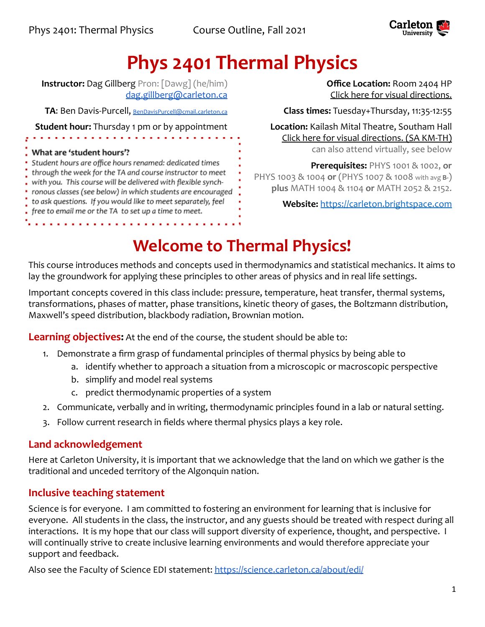

# **Phys 2401 Thermal Physics**

**Instructor:** Dag Gillberg Pron: [Dawg] (he/him) [dag.gillberg@carleton.ca](mailto:dag.gillberg@carleton.ca)

**TA**: Ben Davis-Purcell, [BenDavisPurcell@cmail.carleton.ca](mailto:BenDavisPurcell@cmail.carleton.ca)

**Student hour:** Thursday 1 pm or by appointment

#### What are 'student hours'?

Student hours are office hours renamed: dedicated times through the week for the TA and course instructor to meet with you. This course will be delivered with flexible synchronous classes (see below) in which students are encouraged to ask questions. If you would like to meet separately, feel free to email me or the TA to set up a time to meet.

**Office Location:** Room 2404 HP [Click here for visual directions.](https://www.classfind.com/carleton/)

**Class times:** Tuesday+Thursday, 11:35-12:55

**Location:** Kailash Mital Theatre, Southam Hall [Click here for visual directions.](https://www.classfind.com/carleton/) (SA KM-TH) can also attend virtually, see below

**Prerequisites:** PHYS 1001 & 1002, **or** PHYS 1003 & 1004 **or** (PHYS 1007 & 1008 with avg **B-**) **plus** MATH 1004 & 1104 **or** MATH 2052 & 2152.

**Website:** <https://carleton.brightspace.com>

# **Welcome to Thermal Physics!**

This course introduces methods and concepts used in thermodynamics and statistical mechanics. It aims to lay the groundwork for applying these principles to other areas of physics and in real life settings.

Important concepts covered in this class include: pressure, temperature, heat transfer, thermal systems, transformations, phases of matter, phase transitions, kinetic theory of gases, the Boltzmann distribution, Maxwell's speed distribution, blackbody radiation, Brownian motion.

**Learning objectives:** At the end of the course, the student should be able to:

- 1. Demonstrate a firm grasp of fundamental principles of thermal physics by being able to
	- a. identify whether to approach a situation from a microscopic or macroscopic perspective
	- b. simplify and model real systems
	- c. predict thermodynamic properties of a system
- 2. Communicate, verbally and in writing, thermodynamic principles found in a lab or natural setting.
- 3. Follow current research in fields where thermal physics plays a key role.

## **Land acknowledgement**

Here at Carleton University, it is important that we acknowledge that the land on which we gather is the traditional and unceded territory of the Algonquin nation.

## **Inclusive teaching statement**

Science is for everyone. I am committed to fostering an environment for learning that is inclusive for everyone. All students in the class, the instructor, and any guests should be treated with respect during all interactions. It is my hope that our class will support diversity of experience, thought, and perspective. I will continually strive to create inclusive learning environments and would therefore appreciate your support and feedback.

Also see the Faculty of Science EDI statement: <https://science.carleton.ca/about/edi/>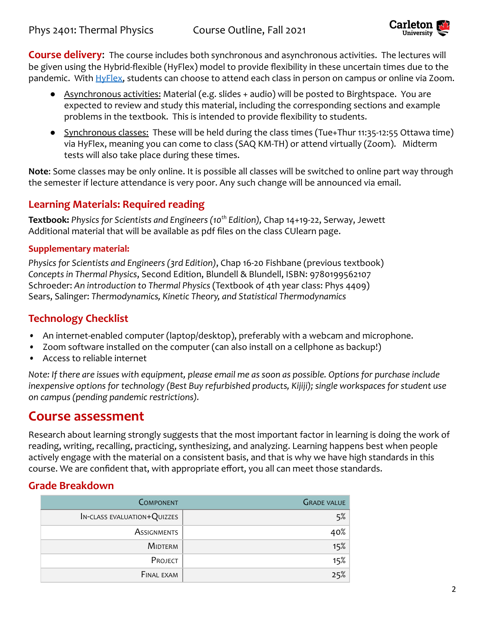

**Course delivery**: The course includes both synchronous and asynchronous activities. The lectures will be given using the Hybrid-flexible (HyFlex) model to provide flexibility in these uncertain times due to the pandemic. With [HyFlex,](https://carleton.ca/tls/2021/hyflex-a-new-teaching-option-for-the-fall/) students can choose to attend each class in person on campus or online via Zoom.

- Asynchronous activities: Material (e.g. slides + audio) will be posted to Birghtspace. You are expected to review and study this material, including the corresponding sections and example problems in the textbook. This is intended to provide flexibility to students.
- Synchronous classes: These will be held during the class times (Tue+Thur 11:35-12:55 Ottawa time) via HyFlex, meaning you can come to class (SAQ KM-TH) or attend virtually (Zoom). Midterm tests will also take place during these times.

**Note**: Some classes may be only online. It is possible all classes will be switched to online part way through the semester if lecture attendance is very poor. Any such change will be announced via email.

### **Learning Materials: Required reading**

**Textbook:** *Physics for Scientists and Engineers (10th Edition),* Chap 14+19-22, Serway, Jewett Additional material that will be available as pdf files on the class CUlearn page.

#### **Supplementary material:**

*Physics for Scientists and Engineers (3rd Edition)*, Chap 16-20 Fishbane (previous textbook) *Concepts in Thermal Physics*, Second Edition, Blundell & Blundell, ISBN: 9780199562107 Schroeder: *An introduction to Thermal Physics* (Textbook of 4th year class: Phys 4409) Sears, Salinger: *Thermodynamics, Kinetic Theory, and Statistical Thermodynamics*

### **Technology Checklist**

- *•* An internet-enabled computer (laptop/desktop), preferably with a webcam and microphone.
- *•* Zoom software installed on the computer (can also install on a cellphone as backup!)
- *•* Access to reliable internet

*Note: If there are issues with equipment, please email me as soon as possible. Options for purchase include inexpensive options for technology (Best Buy refurbished products, Kijiji); single workspaces for student use on campus (pending pandemic restrictions).*

# **Course assessment**

Research about learning strongly suggests that the most important factor in learning is doing the work of reading, writing, recalling, practicing, synthesizing, and analyzing. Learning happens best when people actively engage with the material on a consistent basis, and that is why we have high standards in this course. We are confident that, with appropriate effort, you all can meet those standards.

### **Grade Breakdown**

| <b>COMPONENT</b>            | <b>GRADE VALUE</b> |
|-----------------------------|--------------------|
| IN-CLASS EVALUATION+QUIZZES | 5%                 |
| <b>ASSIGNMENTS</b>          | 40%                |
| <b>MIDTERM</b>              | 15%                |
| PROJECT                     | 15%                |
| <b>FINAL EXAM</b>           | 25%                |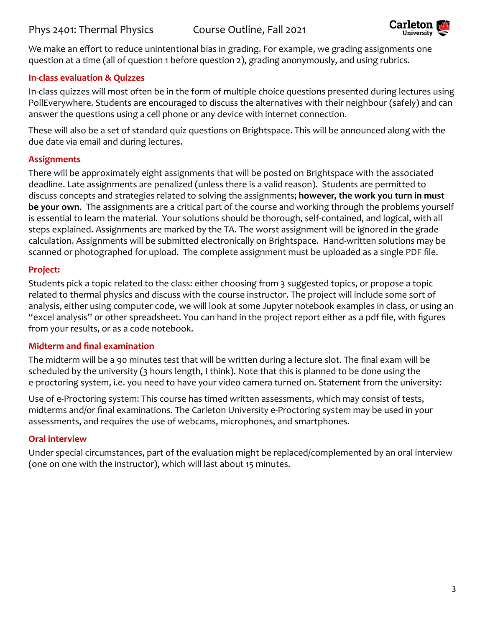

We make an effort to reduce unintentional bias in grading. For example, we grading assignments one question at a time (all of question 1 before question 2), grading anonymously, and using rubrics.

#### **In-class evaluation & Quizzes**

In-class quizzes will most often be in the form of multiple choice questions presented during lectures using PollEverywhere. Students are encouraged to discuss the alternatives with their neighbour (safely) and can answer the questions using a cell phone or any device with internet connection.

These will also be a set of standard quiz questions on Brightspace. This will be announced along with the due date via email and during lectures.

#### **Assignments**

There will be approximately eight assignments that will be posted on Brightspace with the associated deadline. Late assignments are penalized (unless there is a valid reason). Students are permitted to discuss concepts and strategies related to solving the assignments; **however, the work you turn in must be your own**. The assignments are a critical part of the course and working through the problems yourself is essential to learn the material. Your solutions should be thorough, self-contained, and logical, with all steps explained. Assignments are marked by the TA. The worst assignment will be ignored in the grade calculation. Assignments will be submitted electronically on Brightspace. Hand-written solutions may be scanned or photographed for upload. The complete assignment must be uploaded as a single PDF file.

#### **Project:**

Students pick a topic related to the class: either choosing from 3 suggested topics, or propose a topic related to thermal physics and discuss with the course instructor. The project will include some sort of analysis, either using computer code, we will look at some Jupyter notebook examples in class, or using an "excel analysis" or other spreadsheet. You can hand in the project report either as a pdf file, with figures from your results, or as a code notebook.

#### **Midterm and final examination**

The midterm will be a 90 minutes test that will be written during a lecture slot. The final exam will be scheduled by the university (3 hours length, I think). Note that this is planned to be done using the e-proctoring system, i.e. you need to have your video camera turned on. Statement from the university:

Use of e-Proctoring system: This course has timed written assessments, which may consist of tests, midterms and/or final examinations. The Carleton University e-Proctoring system may be used in your assessments, and requires the use of webcams, microphones, and smartphones.

#### **Oral interview**

Under special circumstances, part of the evaluation might be replaced/complemented by an oral interview (one on one with the instructor), which will last about 15 minutes.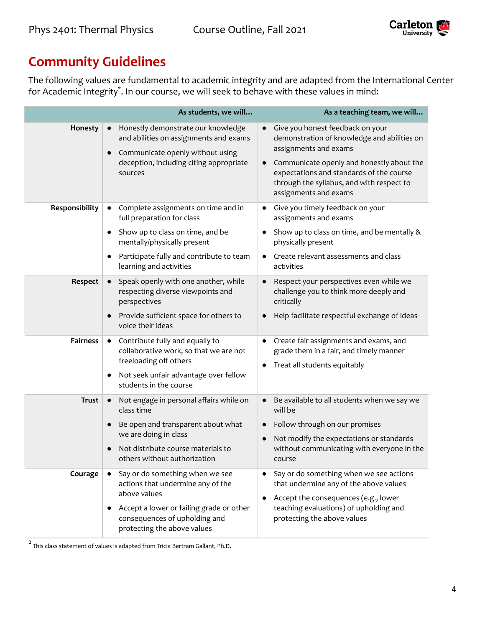

# **Community Guidelines**

The following values are fundamental to academic integrity and are adapted from the International Center for Academic Integrity\* . In our course, we will seek to behave with these values in mind:

|                 | As students, we will                                                                                                                                                                                                          | As a teaching team, we will                                                                                                                                                                                                                                                          |
|-----------------|-------------------------------------------------------------------------------------------------------------------------------------------------------------------------------------------------------------------------------|--------------------------------------------------------------------------------------------------------------------------------------------------------------------------------------------------------------------------------------------------------------------------------------|
| Honesty         | Honestly demonstrate our knowledge<br>and abilities on assignments and exams<br>Communicate openly without using<br>$\bullet$<br>deception, including citing appropriate<br>sources                                           | Give you honest feedback on your<br>demonstration of knowledge and abilities on<br>assignments and exams<br>Communicate openly and honestly about the<br>$\bullet$<br>expectations and standards of the course<br>through the syllabus, and with respect to<br>assignments and exams |
| Responsibility  | Complete assignments on time and in<br>$\bullet$<br>full preparation for class<br>Show up to class on time, and be<br>٠<br>mentally/physically present<br>Participate fully and contribute to team<br>learning and activities | Give you timely feedback on your<br>$\bullet$<br>assignments and exams<br>Show up to class on time, and be mentally &<br>physically present<br>Create relevant assessments and class<br>$\bullet$<br>activities                                                                      |
| Respect         | Speak openly with one another, while<br>respecting diverse viewpoints and<br>perspectives<br>Provide sufficient space for others to<br>$\bullet$<br>voice their ideas                                                         | Respect your perspectives even while we<br>challenge you to think more deeply and<br>critically<br>Help facilitate respectful exchange of ideas                                                                                                                                      |
| <b>Fairness</b> | Contribute fully and equally to<br>$\bullet$<br>collaborative work, so that we are not<br>freeloading off others<br>Not seek unfair advantage over fellow<br>students in the course                                           | Create fair assignments and exams, and<br>$\bullet$<br>grade them in a fair, and timely manner<br>Treat all students equitably<br>$\bullet$                                                                                                                                          |
| <b>Trust</b>    | Not engage in personal affairs while on<br>$\bullet$<br>class time<br>Be open and transparent about what<br>we are doing in class<br>Not distribute course materials to<br>others without authorization                       | Be available to all students when we say we<br>will be<br>Follow through on our promises<br>Not modify the expectations or standards<br>without communicating with everyone in the<br>course                                                                                         |
| Courage         | Say or do something when we see<br>actions that undermine any of the<br>above values<br>Accept a lower or failing grade or other<br>consequences of upholding and<br>protecting the above values                              | Say or do something when we see actions<br>that undermine any of the above values<br>Accept the consequences (e.g., lower<br>$\bullet$<br>teaching evaluations) of upholding and<br>protecting the above values                                                                      |

 $^2$  This class statement of values is adapted from Tricia Bertram Gallant, Ph.D.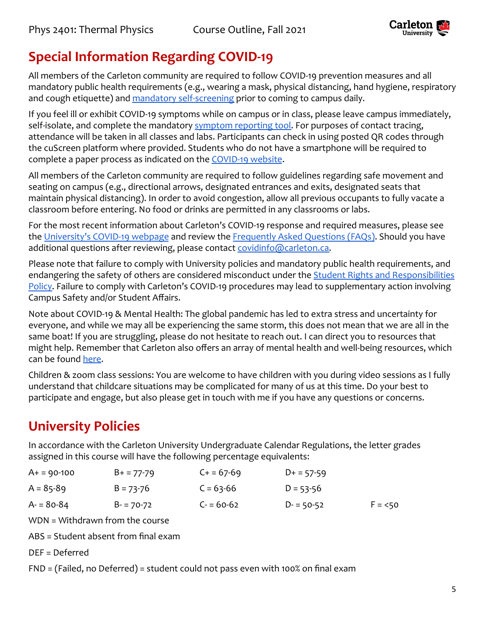

# **Special Information Regarding COVID-19**

All members of the Carleton community are required to follow COVID-19 prevention measures and all mandatory public health requirements (e.g., wearing a mask, physical distancing, hand hygiene, respiratory and cough etiquette) and [mandatory self-screening](https://carleton.ca/covid19/screening/) prior to coming to campus daily.

If you feel ill or exhibit COVID-19 symptoms while on campus or in class, please leave campus immediately, self-isolate, and complete the mandatory [symptom reporting](https://carleton.ca/covid19/covid-19-symptom-reporting/) tool. For purposes of contact tracing, attendance will be taken in all classes and labs. Participants can check in using posted QR codes through the cuScreen platform where provided. Students who do not have a smartphone will be required to complete a paper process as indicated on the [COVID-19](http://carleton.ca/covid19) website.

All members of the Carleton community are required to follow guidelines regarding safe movement and seating on campus (e.g., directional arrows, designated entrances and exits, designated seats that maintain physical distancing). In order to avoid congestion, allow all previous occupants to fully vacate a classroom before entering. No food or drinks are permitted in any classrooms or labs.

For the most recent information about Carleton's COVID-19 response and required measures, please see the [University's COVID-19 webpage](https://carleton.ca/covid19/) and review the Frequently [Asked Questions \(FAQs\)](https://carleton.ca/covid19/faq/). Should you have additional questions after reviewing, please contact [covidinfo@carleton.ca.](mailto:covidinfo@carleton.ca)

Please note that failure to comply with University policies and mandatory public health requirements, and endangering the safety of others are considered misconduct under the [Student Rights and Responsibilities](https://carleton.ca/studentaffairs/student-rights-and-responsibilities/) [Policy.](https://carleton.ca/studentaffairs/student-rights-and-responsibilities/) Failure to comply with Carleton's COVID-19 procedures may lead to supplementary action involving Campus Safety and/or Student Affairs.

Note about COVID-19 & Mental Health: The global pandemic has led to extra stress and uncertainty for everyone, and while we may all be experiencing the same storm, this does not mean that we are all in the same boat! If you are struggling, please do not hesitate to reach out. I can direct you to resources that might help. Remember that Carleton also offers an array of mental health and well-being resources, which can be found [here.](https://carleton.ca/wellness/)

Children & zoom class sessions: You are welcome to have children with you during video sessions as I fully understand that childcare situations may be complicated for many of us at this time. Do your best to participate and engage, but also please get in touch with me if you have any questions or concerns.

# **University Policies**

In accordance with the Carleton University Undergraduate Calendar Regulations, the letter grades assigned in this course will have the following percentage equivalents:

| $A+ = 90-100$ | $B+ = 77-79$  | $C + 57-69$ | $D+ = 57-59$  |          |
|---------------|---------------|-------------|---------------|----------|
| $A = 85-89$   | $B = 73 - 76$ | $C = 63-66$ | $D = 53 - 56$ |          |
| $A = 80-84$   | $B = 70-72$   | $C = 60-62$ | $D = 50-52$   | $F = 50$ |

WDN = Withdrawn from the course

ABS = Student absent from final exam

DEF = Deferred

FND = (Failed, no Deferred) = student could not pass even with 100% on final exam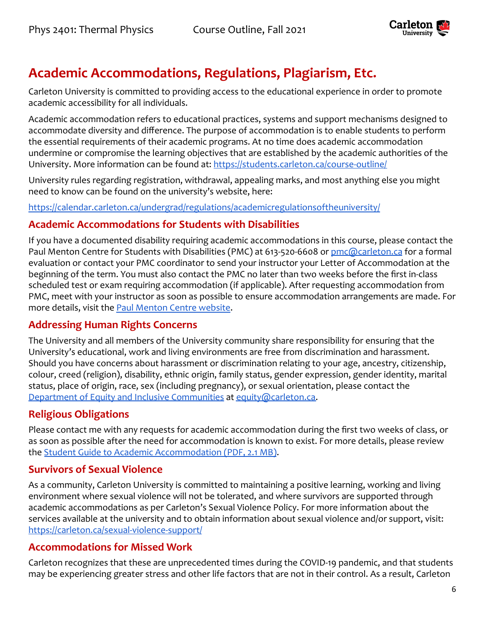

# **Academic Accommodations, Regulations, Plagiarism, Etc.**

Carleton University is committed to providing access to the educational experience in order to promote academic accessibility for all individuals.

Academic accommodation refers to educational practices, systems and support mechanisms designed to accommodate diversity and difference. The purpose of accommodation is to enable students to perform the essential requirements of their academic programs. At no time does academic accommodation undermine or compromise the learning objectives that are established by the academic authorities of the University. More information can be found at: <https://students.carleton.ca/course-outline/>

University rules regarding registration, withdrawal, appealing marks, and most anything else you might need to know can be found on the university's website, here:

<https://calendar.carleton.ca/undergrad/regulations/academicregulationsoftheuniversity/>

### **Academic Accommodations for Students with Disabilities**

If you have a documented disability requiring academic accommodations in this course, please contact the Paul Menton Centre for Students with Disabilities (PMC) at 613-520-6608 or [pmc@carleton.ca](mailto:pmc@carleton.ca) for a formal evaluation or contact your PMC coordinator to send your instructor your Letter of Accommodation at the beginning of the term. You must also contact the PMC no later than two weeks before the first in-class scheduled test or exam requiring accommodation (if applicable). After requesting accommodation from PMC, meet with your instructor as soon as possible to ensure accommodation arrangements are made. For more details, visit the [Paul Menton Centre website](http://carleton.ca/pmc).

### **Addressing Human Rights Concerns**

The University and all members of the University community share responsibility for ensuring that the University's educational, work and living environments are free from discrimination and harassment. Should you have concerns about harassment or discrimination relating to your age, ancestry, citizenship, colour, creed (religion), disability, ethnic origin, family status, gender expression, gender identity, marital status, place of origin, race, sex (including pregnancy), or sexual orientation, please contact the [Department of Equity and Inclusive Communities](https://carleton.ca/equity/) at [equity@carleton.ca.](mailto:equity@carleton.ca)

## **Religious Obligations**

Please contact me with any requests for academic accommodation during the first two weeks of class, or as soon as possible after the need for accommodation is known to exist. For more details, please review the [Student Guide to Academic Accommodation \(PDF,](https://carleton.ca/equity/wp-content/uploads/Student-Guide-to-Academic-Accommodation.pdf) 2.1 MB).

## **Survivors of Sexual Violence**

As a community, Carleton University is committed to maintaining a positive learning, working and living environment where sexual violence will not be tolerated, and where survivors are supported through academic accommodations as per Carleton's Sexual Violence Policy. For more information about the services available at the university and to obtain information about sexual violence and/or support, visit: <https://carleton.ca/sexual-violence-support/>

### **Accommodations for Missed Work**

Carleton recognizes that these are unprecedented times during the COVID-19 pandemic, and that students may be experiencing greater stress and other life factors that are not in their control. As a result, Carleton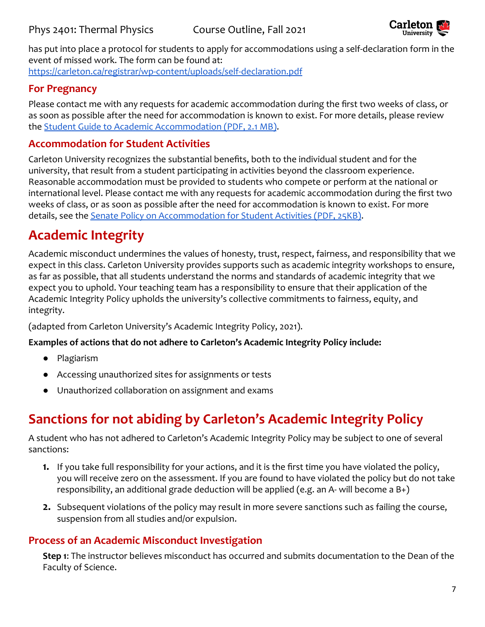

has put into place a protocol for students to apply for accommodations using a self-declaration form in the event of missed work. The form can be found at: <https://carleton.ca/registrar/wp-content/uploads/self-declaration.pdf>

### **For Pregnancy**

Please contact me with any requests for academic accommodation during the first two weeks of class, or as soon as possible after the need for accommodation is known to exist. For more details, please review the [Student Guide to Academic Accommodation \(PDF,](https://carleton.ca/equity/wp-content/uploads/Student-Guide-to-Academic-Accommodation.pdf) 2.1 MB).

### **Accommodation for Student Activities**

Carleton University recognizes the substantial benefits, both to the individual student and for the university, that result from a student participating in activities beyond the classroom experience. Reasonable accommodation must be provided to students who compete or perform at the national or international level. Please contact me with any requests for academic accommodation during the first two weeks of class, or as soon as possible after the need for accommodation is known to exist. For more details, see the [Senate Policy on Accommodation for](https://carleton.ca/senate/wp-content/uploads/Accommodation-for-Student-Activities-1.pdf) Student Activities (PDF, 25KB).

# **Academic Integrity**

Academic misconduct undermines the values of honesty, trust, respect, fairness, and responsibility that we expect in this class. Carleton University provides supports such as academic integrity workshops to ensure, as far as possible, that all students understand the norms and standards of academic integrity that we expect you to uphold. Your teaching team has a responsibility to ensure that their application of the Academic Integrity Policy upholds the university's collective commitments to fairness, equity, and integrity.

(adapted from Carleton University's Academic Integrity Policy, 2021).

#### **Examples of actions that do not adhere to Carleton's Academic Integrity Policy include:**

- Plagiarism
- Accessing unauthorized sites for assignments or tests
- Unauthorized collaboration on assignment and exams

# **Sanctions for not abiding by Carleton's Academic Integrity Policy**

A student who has not adhered to Carleton's Academic Integrity Policy may be subject to one of several sanctions:

- **1.** If you take full responsibility for your actions, and it is the first time you have violated the policy, you will receive zero on the assessment. If you are found to have violated the policy but do not take responsibility, an additional grade deduction will be applied (e.g. an A- will become a B+)
- **2.** Subsequent violations of the policy may result in more severe sanctions such as failing the course, suspension from all studies and/or expulsion.

### **Process of an Academic Misconduct Investigation**

**Step 1**: The instructor believes misconduct has occurred and submits documentation to the Dean of the Faculty of Science.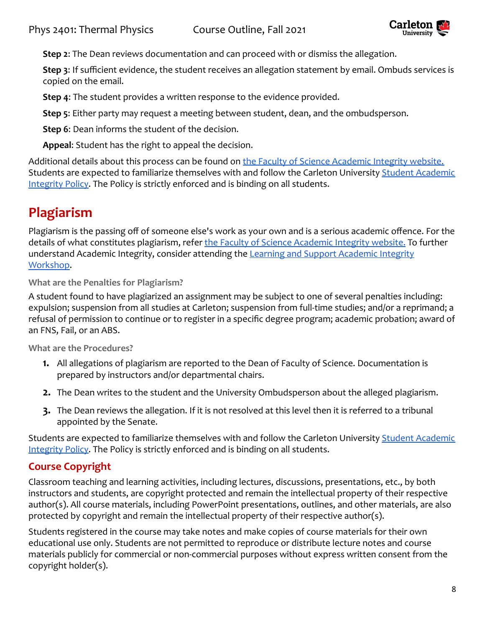

**Step 2**: The Dean reviews documentation and can proceed with or dismiss the allegation.

**Step 3**: If sufficient evidence, the student receives an allegation statement by email. Ombuds services is copied on the email.

**Step 4**: The student provides a written response to the evidence provided.

**Step 5**: Either party may request a meeting between student, dean, and the ombudsperson.

**Step 6**: Dean informs the student of the decision.

**Appeal**: Student has the right to appeal the decision.

Additional details about this process can be found on [the Faculty of Science Academic Integrity website.](https://science.carleton.ca/academic-integrity/) Students are expected to familiarize themselves with and follow the Carleton University [Student Academic](https://carleton.ca/registrar/academic-integrity/) [Integrity Policy.](https://carleton.ca/registrar/academic-integrity/) The Policy is strictly enforced and is binding on all students.

# **Plagiarism**

Plagiarism is the passing off of someone else's work as your own and is a serious academic offence. For the details of what constitutes plagiarism, refer the [Faculty of Science Academic Integrity website.](https://science.carleton.ca/academic-integrity/) To further understand Academic Integrity, consider attending the [Learning and Support Academic Integrity](https://carleton.ca/csas/learning-%20support-2/learning-support-workshops/) [Workshop](https://carleton.ca/csas/learning-%20support-2/learning-support-workshops/).

**What are the Penalties for Plagiarism?**

A student found to have plagiarized an assignment may be subject to one of several penalties including: expulsion; suspension from all studies at Carleton; suspension from full-time studies; and/or a reprimand; a refusal of permission to continue or to register in a specific degree program; academic probation; award of an FNS, Fail, or an ABS.

**What are the Procedures?**

- **1.** All allegations of plagiarism are reported to the Dean of Faculty of Science. Documentation is prepared by instructors and/or departmental chairs.
- **2.** The Dean writes to the student and the University Ombudsperson about the alleged plagiarism.
- **3.** The Dean reviews the allegation. If it is not resolved at this level then it is referred to a tribunal appointed by the Senate.

Students are expected to familiarize themselves with and follow the Carleton University [Student Academic](https://carleton.ca/registrar/academic-integrity/) [Integrity Policy.](https://carleton.ca/registrar/academic-integrity/) The Policy is strictly enforced and is binding on all students.

## **Course Copyright**

Classroom teaching and learning activities, including lectures, discussions, presentations, etc., by both instructors and students, are copyright protected and remain the intellectual property of their respective author(s). All course materials, including PowerPoint presentations, outlines, and other materials, are also protected by copyright and remain the intellectual property of their respective author(s).

Students registered in the course may take notes and make copies of course materials for their own educational use only. Students are not permitted to reproduce or distribute lecture notes and course materials publicly for commercial or non-commercial purposes without express written consent from the copyright holder(s).